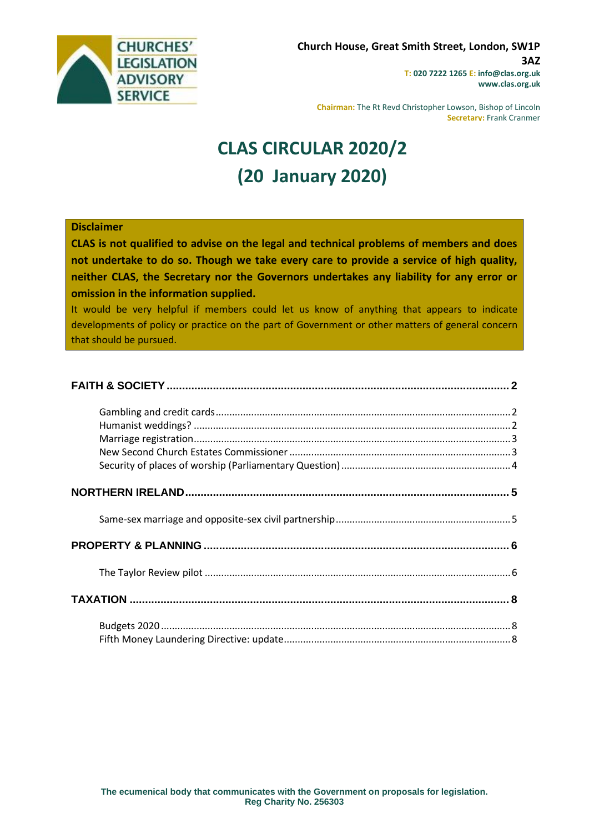

**Chairman:** The Rt Revd Christopher Lowson, Bishop of Lincoln **Secretary:** Frank Cranmer

# **CLAS CIRCULAR 2020/2 (20 January 2020)**

#### **Disclaimer**

**CLAS is not qualified to advise on the legal and technical problems of members and does not undertake to do so. Though we take every care to provide a service of high quality, neither CLAS, the Secretary nor the Governors undertakes any liability for any error or omission in the information supplied.**

It would be very helpful if members could let us know of anything that appears to indicate developments of policy or practice on the part of Government or other matters of general concern that should be pursued.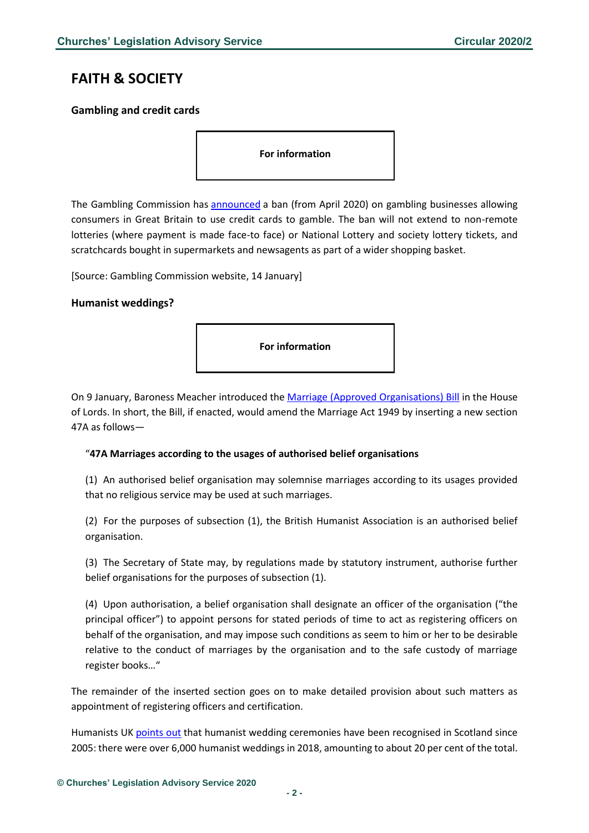## <span id="page-1-0"></span>**FAITH & SOCIETY**

### <span id="page-1-1"></span>**Gambling and credit cards**

**For information** 

The Gambling Commission has [announced](https://www.gamblingcommission.gov.uk/news-action-and-statistics/News/gambling-on-credit-cards-to-be-banned-from-april-2020) a ban (from April 2020) on gambling businesses allowing consumers in Great Britain to use credit cards to gamble. The ban will not extend to non-remote lotteries (where payment is made face-to face) or National Lottery and society lottery tickets, and scratchcards bought in supermarkets and newsagents as part of a wider shopping basket.

[Source: Gambling Commission website, 14 January]

### <span id="page-1-2"></span>**Humanist weddings?**



On 9 January, Baroness Meacher introduced the [Marriage \(Approved Organisations\) Bill](https://publications.parliament.uk/pa/bills/lbill/58-01/014/5801014.pdf) in the House of Lords. In short, the Bill, if enacted, would amend the Marriage Act 1949 by inserting a new section 47A as follows—

#### "**47A Marriages according to the usages of authorised belief organisations**

(1) An authorised belief organisation may solemnise marriages according to its usages provided that no religious service may be used at such marriages.

(2) For the purposes of subsection (1), the British Humanist Association is an authorised belief organisation.

(3) The Secretary of State may, by regulations made by statutory instrument, authorise further belief organisations for the purposes of subsection (1).

(4) Upon authorisation, a belief organisation shall designate an officer of the organisation ("the principal officer") to appoint persons for stated periods of time to act as registering officers on behalf of the organisation, and may impose such conditions as seem to him or her to be desirable relative to the conduct of marriages by the organisation and to the safe custody of marriage register books…"

The remainder of the inserted section goes on to make detailed provision about such matters as appointment of registering officers and certification.

Humanists UK [points out](https://humanism.org.uk/2019/12/20/new-lords-bill-proposes-legal-recognition-of-humanist-marriages/) that humanist wedding ceremonies have been recognised in Scotland since 2005: there were over 6,000 humanist weddings in 2018, amounting to about 20 per cent of the total.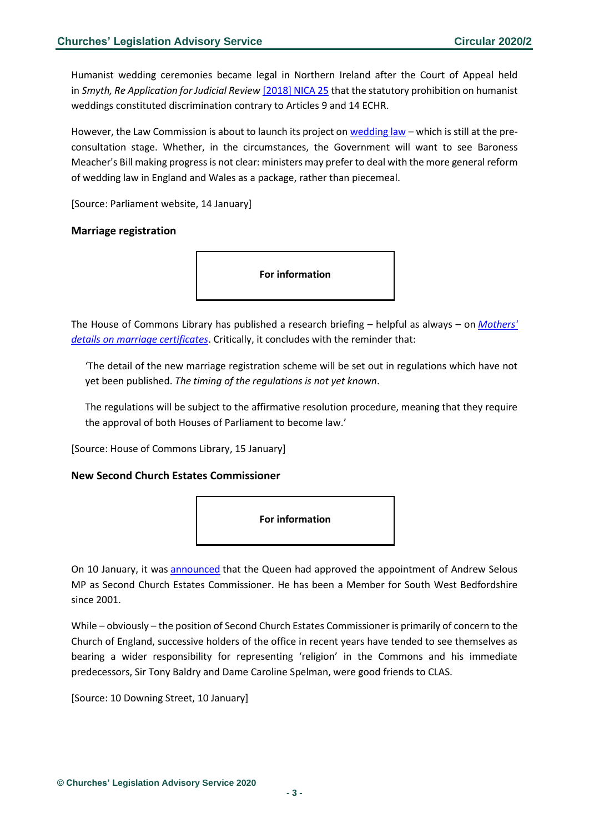Humanist wedding ceremonies became legal in Northern Ireland after the Court of Appeal held in *Smyth, Re Application for Judicial Review* [\[2018\] NICA 25](https://www.bailii.org/nie/cases/NICA/2018/25.html) that the statutory prohibition on humanist weddings constituted discrimination contrary to Articles 9 and 14 ECHR.

However, the Law Commission is about to launch its project on [wedding law](https://www.lawcom.gov.uk/project/weddings/) – which is still at the preconsultation stage. Whether, in the circumstances, the Government will want to see Baroness Meacher's Bill making progress is not clear: ministers may prefer to deal with the more general reform of wedding law in England and Wales as a package, rather than piecemeal.

[Source: Parliament website, 14 January]

### <span id="page-2-0"></span>**Marriage registration**

**For information** 

The House of Commons Library has published a research briefing – helpful as always – on *[Mothers'](https://researchbriefings.parliament.uk/ResearchBriefing/Summary/CBP-7516)  [details on marriage certificates](https://researchbriefings.parliament.uk/ResearchBriefing/Summary/CBP-7516)*. Critically, it concludes with the reminder that:

'The detail of the new marriage registration scheme will be set out in regulations which have not yet been published. *The timing of the regulations is not yet known*.

The regulations will be subject to the affirmative resolution procedure, meaning that they require the approval of both Houses of Parliament to become law.'

[Source: House of Commons Library, 15 January]

### <span id="page-2-1"></span>**New Second Church Estates Commissioner**



On 10 January, it was [announced](https://www.gov.uk/government/news/second-church-estates-commissioner-andrew-selous-mp?utm_source=4e230b21-537d-4549-b12b-a9b4350bf344&utm_medium=email&utm_campaign=govuk-notifications&utm_content=immediate) that the Queen had approved the appointment of Andrew Selous MP as Second Church Estates Commissioner. He has been a Member for South West Bedfordshire since 2001.

While – obviously – the position of Second Church Estates Commissioner is primarily of concern to the Church of England, successive holders of the office in recent years have tended to see themselves as bearing a wider responsibility for representing 'religion' in the Commons and his immediate predecessors, Sir Tony Baldry and Dame Caroline Spelman, were good friends to CLAS.

[Source: 10 Downing Street, 10 January]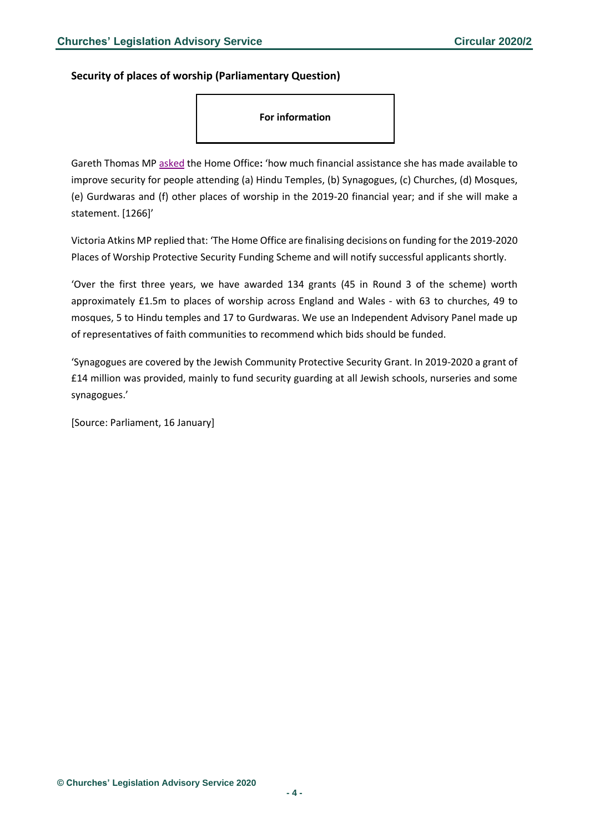<span id="page-3-0"></span>**Security of places of worship (Parliamentary Question)**

**For information** 

Gareth Thomas M[P asked](https://www.parliament.uk/business/publications/written-questions-answers-statements/written-question/Commons/2020-01-08/1266/) the Home Office**:** 'how much financial assistance she has made available to improve security for people attending (a) Hindu Temples, (b) Synagogues, (c) Churches, (d) Mosques, (e) Gurdwaras and (f) other places of worship in the 2019-20 financial year; and if she will make a statement. [1266]'

Victoria Atkins MP replied that: 'The Home Office are finalising decisions on funding for the 2019-2020 Places of Worship Protective Security Funding Scheme and will notify successful applicants shortly.

'Over the first three years, we have awarded 134 grants (45 in Round 3 of the scheme) worth approximately £1.5m to places of worship across England and Wales - with 63 to churches, 49 to mosques, 5 to Hindu temples and 17 to Gurdwaras. We use an Independent Advisory Panel made up of representatives of faith communities to recommend which bids should be funded.

'Synagogues are covered by the Jewish Community Protective Security Grant. In 2019-2020 a grant of £14 million was provided, mainly to fund security guarding at all Jewish schools, nurseries and some synagogues.'

[Source: Parliament, 16 January]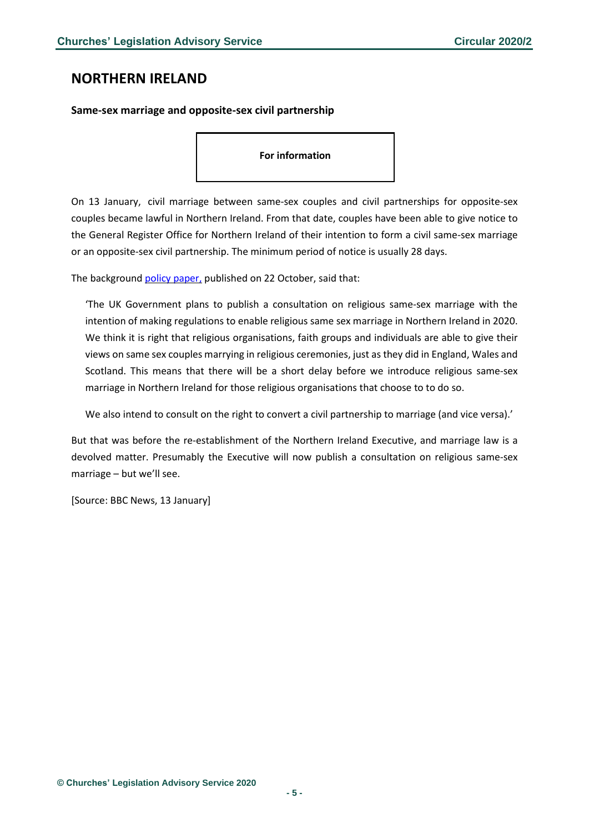### <span id="page-4-0"></span>**NORTHERN IRELAND**

### <span id="page-4-1"></span>**Same-sex marriage and opposite-sex civil partnership**

#### **For information**

On 13 January, civil marriage between same-sex couples and civil partnerships for opposite-sex couples became lawful in Northern Ireland. From that date, couples have been able to give notice to the General Register Office for Northern Ireland of their intention to form a civil same-sex marriage or an opposite-sex civil partnership. The minimum period of notice is usually 28 days.

The background policy [paper,](https://www.gov.uk/government/publications/changes-to-the-law-in-northern-ireland-updated) published on 22 October, said that:

'The UK Government plans to publish a consultation on religious same-sex marriage with the intention of making regulations to enable religious same sex marriage in Northern Ireland in 2020. We think it is right that religious organisations, faith groups and individuals are able to give their views on same sex couples marrying in religious ceremonies, just as they did in England, Wales and Scotland. This means that there will be a short delay before we introduce religious same-sex marriage in Northern Ireland for those religious organisations that choose to to do so.

We also intend to consult on the right to convert a civil partnership to marriage (and vice versa).'

But that was before the re-establishment of the Northern Ireland Executive, and marriage law is a devolved matter. Presumably the Executive will now publish a consultation on religious same-sex marriage – but we'll see.

[Source: BBC News, 13 January]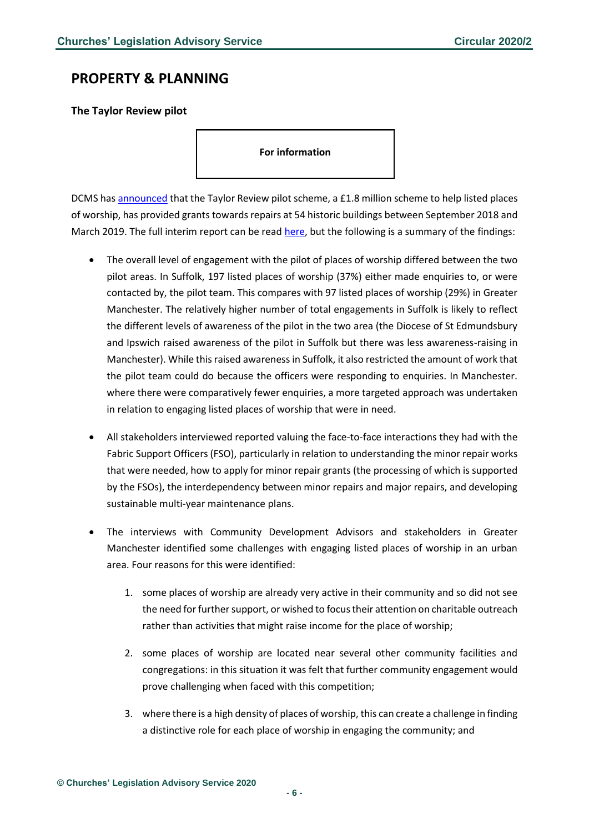## <span id="page-5-0"></span>**PROPERTY & PLANNING**

<span id="page-5-1"></span>**The Taylor Review pilot**

**For information** 

DCMS has [announced](https://www.gov.uk/government/news/54-historic-places-of-worship-restored-thanks-to-government-pilot-scheme) that the Taylor Review pilot scheme, a £1.8 million scheme to help listed places of worship, has provided grants towards repairs at 54 historic buildings between September 2018 and March 2019. The full interim report can be read [here,](https://assets.publishing.service.gov.uk/government/uploads/system/uploads/attachment_data/file/854550/TRP_Interim_Evaulation.pdf) but the following is a summary of the findings:

- The overall level of engagement with the pilot of places of worship differed between the two pilot areas. In Suffolk, 197 listed places of worship (37%) either made enquiries to, or were contacted by, the pilot team. This compares with 97 listed places of worship (29%) in Greater Manchester. The relatively higher number of total engagements in Suffolk is likely to reflect the different levels of awareness of the pilot in the two area (the Diocese of St Edmundsbury and Ipswich raised awareness of the pilot in Suffolk but there was less awareness-raising in Manchester). While this raised awareness in Suffolk, it also restricted the amount of work that the pilot team could do because the officers were responding to enquiries. In Manchester. where there were comparatively fewer enquiries, a more targeted approach was undertaken in relation to engaging listed places of worship that were in need.
- All stakeholders interviewed reported valuing the face-to-face interactions they had with the Fabric Support Officers (FSO), particularly in relation to understanding the minor repair works that were needed, how to apply for minor repair grants (the processing of which is supported by the FSOs), the interdependency between minor repairs and major repairs, and developing sustainable multi-year maintenance plans.
- The interviews with Community Development Advisors and stakeholders in Greater Manchester identified some challenges with engaging listed places of worship in an urban area. Four reasons for this were identified:
	- 1. some places of worship are already very active in their community and so did not see the need for further support, or wished to focus their attention on charitable outreach rather than activities that might raise income for the place of worship;
	- 2. some places of worship are located near several other community facilities and congregations: in this situation it was felt that further community engagement would prove challenging when faced with this competition;
	- 3. where there is a high density of places of worship, this can create a challenge in finding a distinctive role for each place of worship in engaging the community; and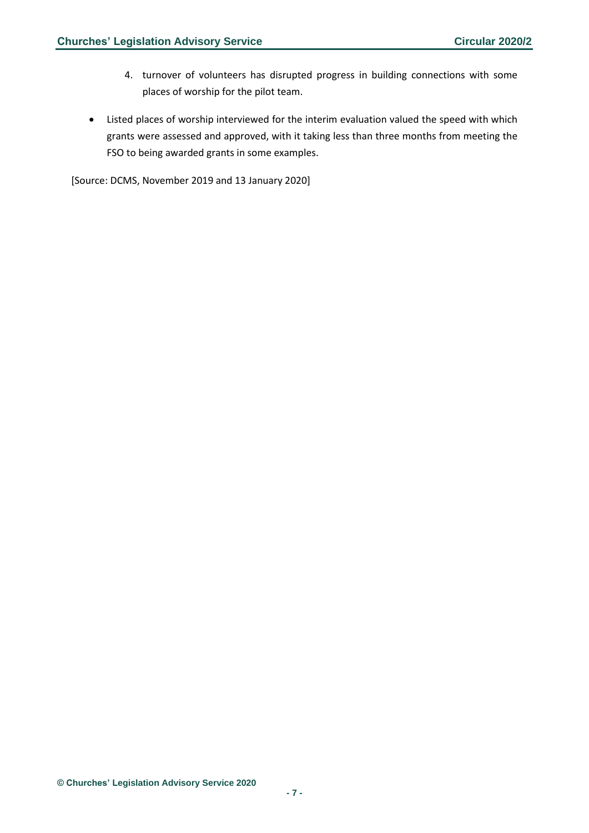- 4. turnover of volunteers has disrupted progress in building connections with some places of worship for the pilot team.
- Listed places of worship interviewed for the interim evaluation valued the speed with which grants were assessed and approved, with it taking less than three months from meeting the FSO to being awarded grants in some examples.

[Source: DCMS, November 2019 and 13 January 2020]